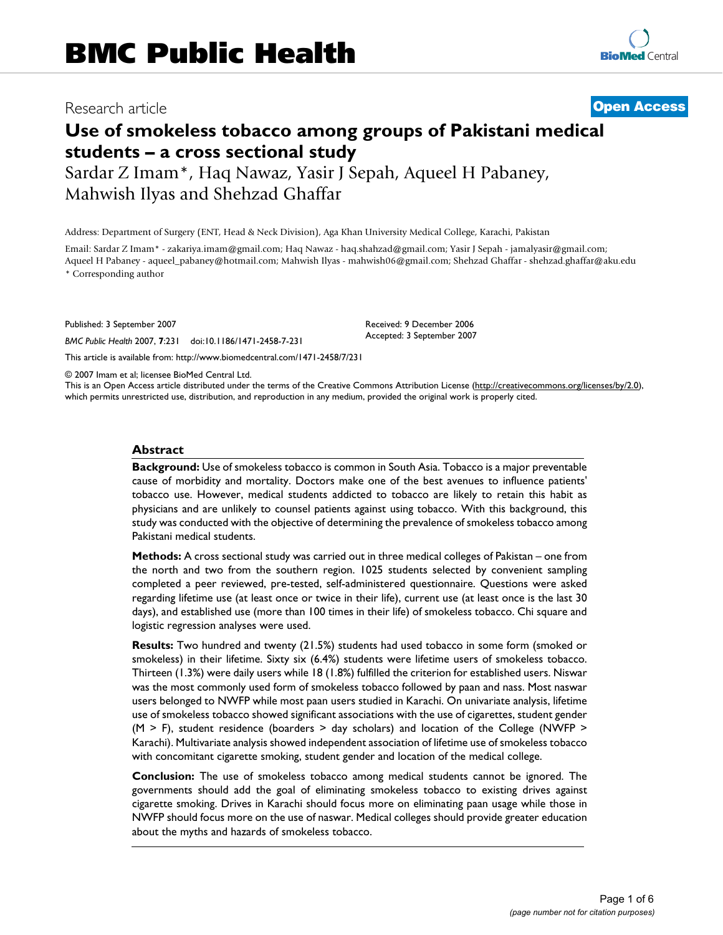# Research article **[Open Access](http://www.biomedcentral.com/info/about/charter/)**

# **Use of smokeless tobacco among groups of Pakistani medical students – a cross sectional study**

Sardar Z Imam\*, Haq Nawaz, Yasir J Sepah, Aqueel H Pabaney, Mahwish Ilyas and Shehzad Ghaffar

Address: Department of Surgery (ENT, Head & Neck Division), Aga Khan University Medical College, Karachi, Pakistan

Email: Sardar Z Imam\* - zakariya.imam@gmail.com; Haq Nawaz - haq.shahzad@gmail.com; Yasir J Sepah - jamalyasir@gmail.com; Aqueel H Pabaney - aqueel\_pabaney@hotmail.com; Mahwish Ilyas - mahwish06@gmail.com; Shehzad Ghaffar - shehzad.ghaffar@aku.edu \* Corresponding author

Published: 3 September 2007

*BMC Public Health* 2007, **7**:231 doi:10.1186/1471-2458-7-231

[This article is available from: http://www.biomedcentral.com/1471-2458/7/231](http://www.biomedcentral.com/1471-2458/7/231)

© 2007 Imam et al; licensee BioMed Central Ltd.

This is an Open Access article distributed under the terms of the Creative Commons Attribution License [\(http://creativecommons.org/licenses/by/2.0\)](http://creativecommons.org/licenses/by/2.0), which permits unrestricted use, distribution, and reproduction in any medium, provided the original work is properly cited.

Received: 9 December 2006 Accepted: 3 September 2007

#### **Abstract**

**Background:** Use of smokeless tobacco is common in South Asia. Tobacco is a major preventable cause of morbidity and mortality. Doctors make one of the best avenues to influence patients' tobacco use. However, medical students addicted to tobacco are likely to retain this habit as physicians and are unlikely to counsel patients against using tobacco. With this background, this study was conducted with the objective of determining the prevalence of smokeless tobacco among Pakistani medical students.

**Methods:** A cross sectional study was carried out in three medical colleges of Pakistan – one from the north and two from the southern region. 1025 students selected by convenient sampling completed a peer reviewed, pre-tested, self-administered questionnaire. Questions were asked regarding lifetime use (at least once or twice in their life), current use (at least once is the last 30 days), and established use (more than 100 times in their life) of smokeless tobacco. Chi square and logistic regression analyses were used.

**Results:** Two hundred and twenty (21.5%) students had used tobacco in some form (smoked or smokeless) in their lifetime. Sixty six (6.4%) students were lifetime users of smokeless tobacco. Thirteen (1.3%) were daily users while 18 (1.8%) fulfilled the criterion for established users. Niswar was the most commonly used form of smokeless tobacco followed by paan and nass. Most naswar users belonged to NWFP while most paan users studied in Karachi. On univariate analysis, lifetime use of smokeless tobacco showed significant associations with the use of cigarettes, student gender  $(M > F)$ , student residence (boarders  $>$  day scholars) and location of the College (NWFP  $>$ Karachi). Multivariate analysis showed independent association of lifetime use of smokeless tobacco with concomitant cigarette smoking, student gender and location of the medical college.

**Conclusion:** The use of smokeless tobacco among medical students cannot be ignored. The governments should add the goal of eliminating smokeless tobacco to existing drives against cigarette smoking. Drives in Karachi should focus more on eliminating paan usage while those in NWFP should focus more on the use of naswar. Medical colleges should provide greater education about the myths and hazards of smokeless tobacco.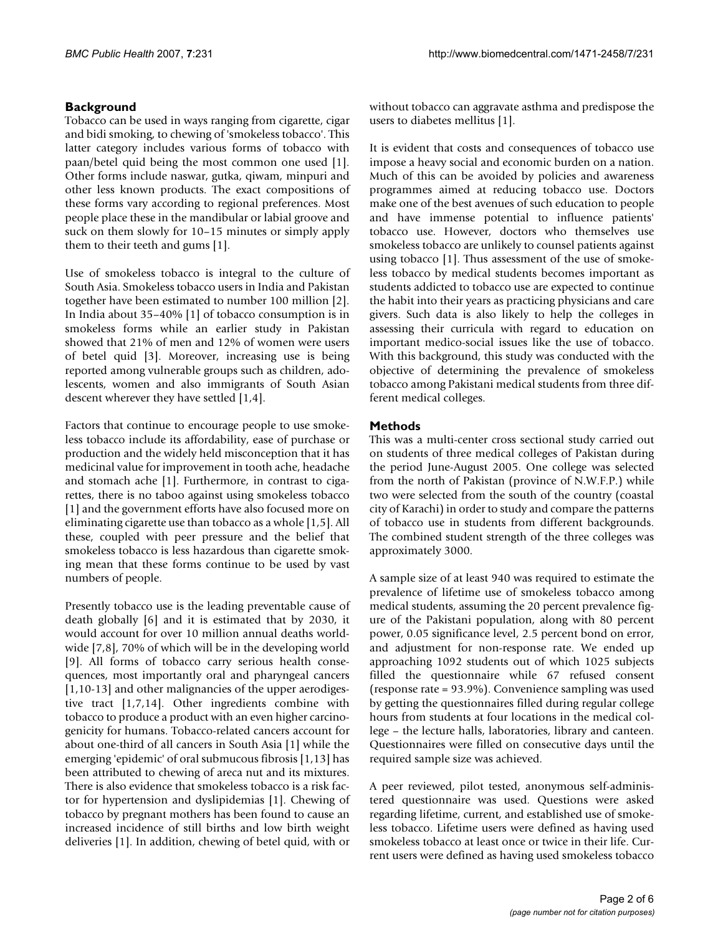# **Background**

Tobacco can be used in ways ranging from cigarette, cigar and bidi smoking, to chewing of 'smokeless tobacco'. This latter category includes various forms of tobacco with paan/betel quid being the most common one used [1]. Other forms include naswar, gutka, qiwam, minpuri and other less known products. The exact compositions of these forms vary according to regional preferences. Most people place these in the mandibular or labial groove and suck on them slowly for 10–15 minutes or simply apply them to their teeth and gums [1].

Use of smokeless tobacco is integral to the culture of South Asia. Smokeless tobacco users in India and Pakistan together have been estimated to number 100 million [2]. In India about 35–40% [1] of tobacco consumption is in smokeless forms while an earlier study in Pakistan showed that 21% of men and 12% of women were users of betel quid [3]. Moreover, increasing use is being reported among vulnerable groups such as children, adolescents, women and also immigrants of South Asian descent wherever they have settled [1,4].

Factors that continue to encourage people to use smokeless tobacco include its affordability, ease of purchase or production and the widely held misconception that it has medicinal value for improvement in tooth ache, headache and stomach ache [1]. Furthermore, in contrast to cigarettes, there is no taboo against using smokeless tobacco [1] and the government efforts have also focused more on eliminating cigarette use than tobacco as a whole [1,5]. All these, coupled with peer pressure and the belief that smokeless tobacco is less hazardous than cigarette smoking mean that these forms continue to be used by vast numbers of people.

Presently tobacco use is the leading preventable cause of death globally [6] and it is estimated that by 2030, it would account for over 10 million annual deaths worldwide [7,8], 70% of which will be in the developing world [9]. All forms of tobacco carry serious health consequences, most importantly oral and pharyngeal cancers [1,10-13] and other malignancies of the upper aerodigestive tract [1,7,14]. Other ingredients combine with tobacco to produce a product with an even higher carcinogenicity for humans. Tobacco-related cancers account for about one-third of all cancers in South Asia [1] while the emerging 'epidemic' of oral submucous fibrosis [1,13] has been attributed to chewing of areca nut and its mixtures. There is also evidence that smokeless tobacco is a risk factor for hypertension and dyslipidemias [1]. Chewing of tobacco by pregnant mothers has been found to cause an increased incidence of still births and low birth weight deliveries [1]. In addition, chewing of betel quid, with or without tobacco can aggravate asthma and predispose the users to diabetes mellitus [1].

It is evident that costs and consequences of tobacco use impose a heavy social and economic burden on a nation. Much of this can be avoided by policies and awareness programmes aimed at reducing tobacco use. Doctors make one of the best avenues of such education to people and have immense potential to influence patients' tobacco use. However, doctors who themselves use smokeless tobacco are unlikely to counsel patients against using tobacco [1]. Thus assessment of the use of smokeless tobacco by medical students becomes important as students addicted to tobacco use are expected to continue the habit into their years as practicing physicians and care givers. Such data is also likely to help the colleges in assessing their curricula with regard to education on important medico-social issues like the use of tobacco. With this background, this study was conducted with the objective of determining the prevalence of smokeless tobacco among Pakistani medical students from three different medical colleges.

# **Methods**

This was a multi-center cross sectional study carried out on students of three medical colleges of Pakistan during the period June-August 2005. One college was selected from the north of Pakistan (province of N.W.F.P.) while two were selected from the south of the country (coastal city of Karachi) in order to study and compare the patterns of tobacco use in students from different backgrounds. The combined student strength of the three colleges was approximately 3000.

A sample size of at least 940 was required to estimate the prevalence of lifetime use of smokeless tobacco among medical students, assuming the 20 percent prevalence figure of the Pakistani population, along with 80 percent power, 0.05 significance level, 2.5 percent bond on error, and adjustment for non-response rate. We ended up approaching 1092 students out of which 1025 subjects filled the questionnaire while 67 refused consent (response rate = 93.9%). Convenience sampling was used by getting the questionnaires filled during regular college hours from students at four locations in the medical college – the lecture halls, laboratories, library and canteen. Questionnaires were filled on consecutive days until the required sample size was achieved.

A peer reviewed, pilot tested, anonymous self-administered questionnaire was used. Questions were asked regarding lifetime, current, and established use of smokeless tobacco. Lifetime users were defined as having used smokeless tobacco at least once or twice in their life. Current users were defined as having used smokeless tobacco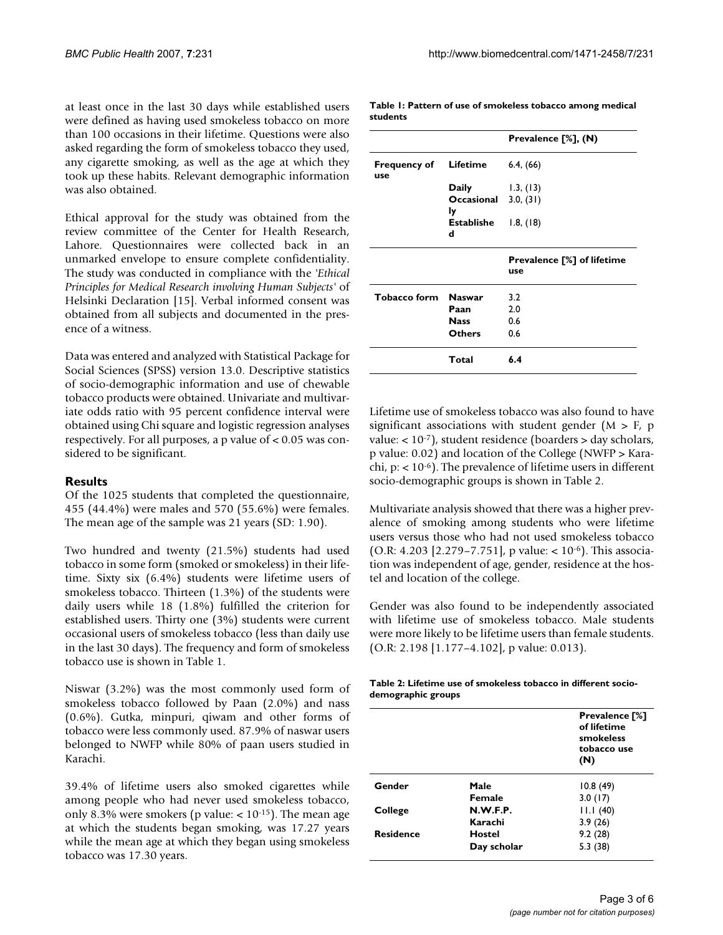at least once in the last 30 days while established users were defined as having used smokeless tobacco on more than 100 occasions in their lifetime. Questions were also asked regarding the form of smokeless tobacco they used, any cigarette smoking, as well as the age at which they took up these habits. Relevant demographic information was also obtained.

Ethical approval for the study was obtained from the review committee of the Center for Health Research, Lahore. Questionnaires were collected back in an unmarked envelope to ensure complete confidentiality. The study was conducted in compliance with the *'Ethical Principles for Medical Research involving Human Subjects'* of Helsinki Declaration [15]. Verbal informed consent was obtained from all subjects and documented in the presence of a witness.

Data was entered and analyzed with Statistical Package for Social Sciences (SPSS) version 13.0. Descriptive statistics of socio-demographic information and use of chewable tobacco products were obtained. Univariate and multivariate odds ratio with 95 percent confidence interval were obtained using Chi square and logistic regression analyses respectively. For all purposes, a p value of < 0.05 was considered to be significant.

#### **Results**

Of the 1025 students that completed the questionnaire, 455 (44.4%) were males and 570 (55.6%) were females. The mean age of the sample was 21 years (SD: 1.90).

Two hundred and twenty (21.5%) students had used tobacco in some form (smoked or smokeless) in their lifetime. Sixty six (6.4%) students were lifetime users of smokeless tobacco. Thirteen (1.3%) of the students were daily users while 18 (1.8%) fulfilled the criterion for established users. Thirty one (3%) students were current occasional users of smokeless tobacco (less than daily use in the last 30 days). The frequency and form of smokeless tobacco use is shown in Table 1.

Niswar (3.2%) was the most commonly used form of smokeless tobacco followed by Paan (2.0%) and nass (0.6%). Gutka, minpuri, qiwam and other forms of tobacco were less commonly used. 87.9% of naswar users belonged to NWFP while 80% of paan users studied in Karachi.

39.4% of lifetime users also smoked cigarettes while among people who had never used smokeless tobacco, only 8.3% were smokers (p value:  $< 10^{-15}$ ). The mean age at which the students began smoking, was 17.27 years while the mean age at which they began using smokeless tobacco was 17.30 years.

**Table 1: Pattern of use of smokeless tobacco among medical students**

|                            |                            | Prevalence [%], (N)               |
|----------------------------|----------------------------|-----------------------------------|
| <b>Frequency of</b><br>use | Lifetime                   | 6.4, (66)                         |
|                            | Daily                      | 1.3, (13)                         |
|                            | Occasional 3.0, (31)<br>ly |                                   |
|                            | Establishe<br>d            | 1.8, (18)                         |
|                            |                            | <b>Prevalence [%] of lifetime</b> |
|                            |                            | use                               |
| <b>Tobacco form</b>        | <b>Naswar</b>              | 3.2                               |
|                            | Paan                       | 2.0                               |
|                            | <b>Nass</b>                | 0.6                               |
|                            | Others                     | 0.6                               |

Lifetime use of smokeless tobacco was also found to have significant associations with student gender ( $M > F$ , p value:  $< 10^{-7}$ ), student residence (boarders  $>$  day scholars, p value: 0.02) and location of the College (NWFP > Karachi, p: < 10-6). The prevalence of lifetime users in different socio-demographic groups is shown in Table 2.

Multivariate analysis showed that there was a higher prevalence of smoking among students who were lifetime users versus those who had not used smokeless tobacco (O.R: 4.203 [2.279–7.751], p value: < 10-6). This association was independent of age, gender, residence at the hostel and location of the college.

Gender was also found to be independently associated with lifetime use of smokeless tobacco. Male students were more likely to be lifetime users than female students. (O.R: 2.198 [1.177–4.102], p value: 0.013).

| Table 2: Lifetime use of smokeless tobacco in different socio- |  |  |
|----------------------------------------------------------------|--|--|
| demographic groups                                             |  |  |

|                  |               | <b>Prevalence</b> [%]<br>of lifetime<br>smokeless<br>tobacco use<br>(N) |
|------------------|---------------|-------------------------------------------------------------------------|
| Gender           | Male          | 10.8(49)                                                                |
|                  | Female        | 3.0(17)                                                                 |
| College          | N.W.F.P.      | 11.1(40)                                                                |
|                  | Karachi       | 3.9(26)                                                                 |
| <b>Residence</b> | <b>Hostel</b> | 9.2(28)                                                                 |
|                  | Day scholar   | 5.3(38)                                                                 |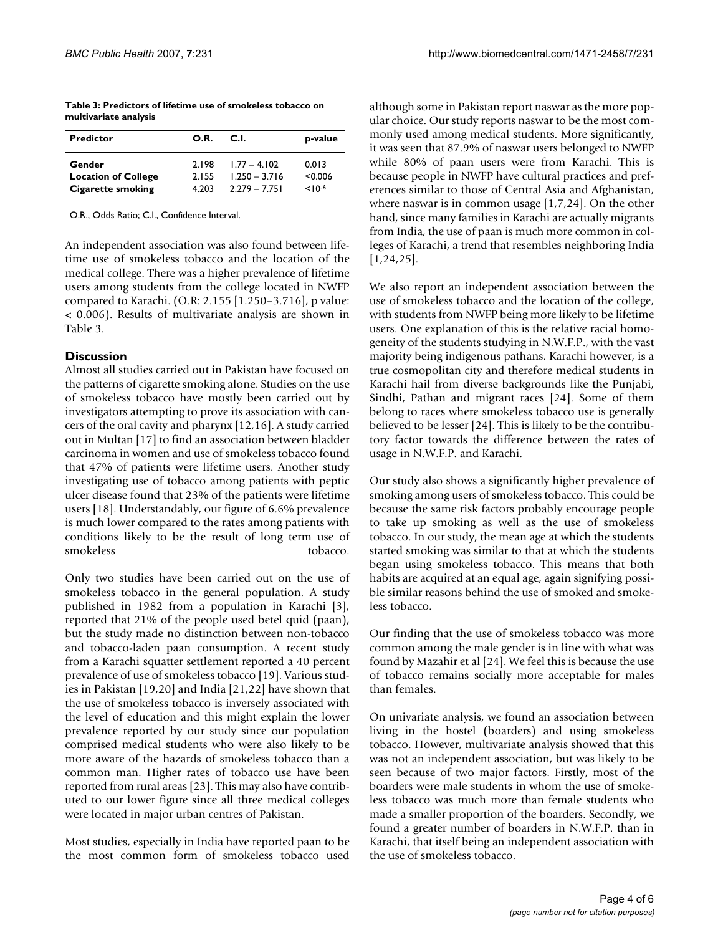| <b>Predictor</b>           | O.R.  | C.I.            | p-value   |
|----------------------------|-------|-----------------|-----------|
| Gender                     | 2.198 | $1.77 - 4.102$  | 0.013     |
| <b>Location of College</b> | 2155  | $1.250 - 3.716$ | < 0.006   |
| Cigarette smoking          | 4.203 | $2.279 - 7.751$ | $10^{-6}$ |

**Table 3: Predictors of lifetime use of smokeless tobacco on multivariate analysis**

O.R., Odds Ratio; C.I., Confidence Interval.

An independent association was also found between lifetime use of smokeless tobacco and the location of the medical college. There was a higher prevalence of lifetime users among students from the college located in NWFP compared to Karachi. (O.R: 2.155 [1.250–3.716], p value: < 0.006). Results of multivariate analysis are shown in Table 3.

### **Discussion**

Almost all studies carried out in Pakistan have focused on the patterns of cigarette smoking alone. Studies on the use of smokeless tobacco have mostly been carried out by investigators attempting to prove its association with cancers of the oral cavity and pharynx [12,16]. A study carried out in Multan [17] to find an association between bladder carcinoma in women and use of smokeless tobacco found that 47% of patients were lifetime users. Another study investigating use of tobacco among patients with peptic ulcer disease found that 23% of the patients were lifetime users [18]. Understandably, our figure of 6.6% prevalence is much lower compared to the rates among patients with conditions likely to be the result of long term use of smokeless tobacco.

Only two studies have been carried out on the use of smokeless tobacco in the general population. A study published in 1982 from a population in Karachi [3], reported that 21% of the people used betel quid (paan), but the study made no distinction between non-tobacco and tobacco-laden paan consumption. A recent study from a Karachi squatter settlement reported a 40 percent prevalence of use of smokeless tobacco [19]. Various studies in Pakistan [19,20] and India [21,22] have shown that the use of smokeless tobacco is inversely associated with the level of education and this might explain the lower prevalence reported by our study since our population comprised medical students who were also likely to be more aware of the hazards of smokeless tobacco than a common man. Higher rates of tobacco use have been reported from rural areas [23]. This may also have contributed to our lower figure since all three medical colleges were located in major urban centres of Pakistan.

Most studies, especially in India have reported paan to be the most common form of smokeless tobacco used

although some in Pakistan report naswar as the more popular choice. Our study reports naswar to be the most commonly used among medical students. More significantly, it was seen that 87.9% of naswar users belonged to NWFP while 80% of paan users were from Karachi. This is because people in NWFP have cultural practices and preferences similar to those of Central Asia and Afghanistan, where naswar is in common usage [1,7,24]. On the other hand, since many families in Karachi are actually migrants from India, the use of paan is much more common in colleges of Karachi, a trend that resembles neighboring India [1,24,25].

We also report an independent association between the use of smokeless tobacco and the location of the college, with students from NWFP being more likely to be lifetime users. One explanation of this is the relative racial homogeneity of the students studying in N.W.F.P., with the vast majority being indigenous pathans. Karachi however, is a true cosmopolitan city and therefore medical students in Karachi hail from diverse backgrounds like the Punjabi, Sindhi, Pathan and migrant races [24]. Some of them belong to races where smokeless tobacco use is generally believed to be lesser [24]. This is likely to be the contributory factor towards the difference between the rates of usage in N.W.F.P. and Karachi.

Our study also shows a significantly higher prevalence of smoking among users of smokeless tobacco. This could be because the same risk factors probably encourage people to take up smoking as well as the use of smokeless tobacco. In our study, the mean age at which the students started smoking was similar to that at which the students began using smokeless tobacco. This means that both habits are acquired at an equal age, again signifying possible similar reasons behind the use of smoked and smokeless tobacco.

Our finding that the use of smokeless tobacco was more common among the male gender is in line with what was found by Mazahir et al [24]. We feel this is because the use of tobacco remains socially more acceptable for males than females.

On univariate analysis, we found an association between living in the hostel (boarders) and using smokeless tobacco. However, multivariate analysis showed that this was not an independent association, but was likely to be seen because of two major factors. Firstly, most of the boarders were male students in whom the use of smokeless tobacco was much more than female students who made a smaller proportion of the boarders. Secondly, we found a greater number of boarders in N.W.F.P. than in Karachi, that itself being an independent association with the use of smokeless tobacco.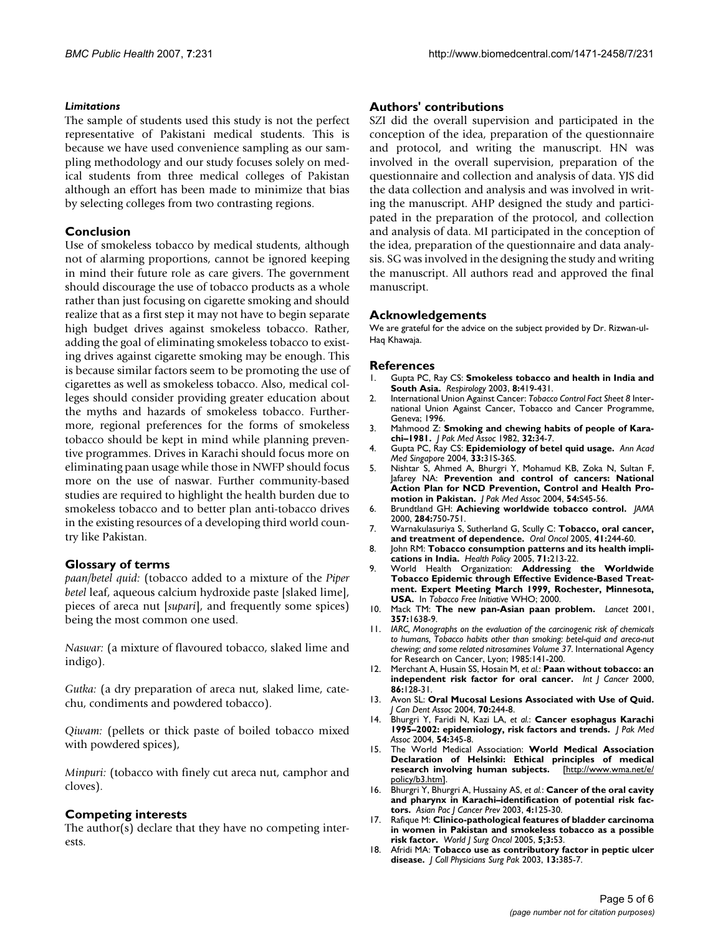#### *Limitations*

The sample of students used this study is not the perfect representative of Pakistani medical students. This is because we have used convenience sampling as our sampling methodology and our study focuses solely on medical students from three medical colleges of Pakistan although an effort has been made to minimize that bias by selecting colleges from two contrasting regions.

#### **Conclusion**

Use of smokeless tobacco by medical students, although not of alarming proportions, cannot be ignored keeping in mind their future role as care givers. The government should discourage the use of tobacco products as a whole rather than just focusing on cigarette smoking and should realize that as a first step it may not have to begin separate high budget drives against smokeless tobacco. Rather, adding the goal of eliminating smokeless tobacco to existing drives against cigarette smoking may be enough. This is because similar factors seem to be promoting the use of cigarettes as well as smokeless tobacco. Also, medical colleges should consider providing greater education about the myths and hazards of smokeless tobacco. Furthermore, regional preferences for the forms of smokeless tobacco should be kept in mind while planning preventive programmes. Drives in Karachi should focus more on eliminating paan usage while those in NWFP should focus more on the use of naswar. Further community-based studies are required to highlight the health burden due to smokeless tobacco and to better plan anti-tobacco drives in the existing resources of a developing third world country like Pakistan.

#### **Glossary of terms**

*paan/betel quid:* (tobacco added to a mixture of the *Piper betel leaf, aqueous calcium hydroxide paste [slaked lime],* pieces of areca nut [*supari*], and frequently some spices) being the most common one used.

*Naswar:* (a mixture of flavoured tobacco, slaked lime and indigo).

*Gutka:* (a dry preparation of areca nut, slaked lime, catechu, condiments and powdered tobacco).

*Qiwam:* (pellets or thick paste of boiled tobacco mixed with powdered spices),

*Minpuri:* (tobacco with finely cut areca nut, camphor and cloves).

#### **Competing interests**

The author(s) declare that they have no competing interests.

#### **Authors' contributions**

SZI did the overall supervision and participated in the conception of the idea, preparation of the questionnaire and protocol, and writing the manuscript. HN was involved in the overall supervision, preparation of the questionnaire and collection and analysis of data. YJS did the data collection and analysis and was involved in writing the manuscript. AHP designed the study and participated in the preparation of the protocol, and collection and analysis of data. MI participated in the conception of the idea, preparation of the questionnaire and data analysis. SG was involved in the designing the study and writing the manuscript. All authors read and approved the final manuscript.

#### **Acknowledgements**

We are grateful for the advice on the subject provided by Dr. Rizwan-ul-Haq Khawaja.

#### **References**

- 1. Gupta PC, Ray CS: **[Smokeless tobacco and health in India and](http://www.ncbi.nlm.nih.gov/entrez/query.fcgi?cmd=Retrieve&db=PubMed&dopt=Abstract&list_uids=14708551) [South Asia.](http://www.ncbi.nlm.nih.gov/entrez/query.fcgi?cmd=Retrieve&db=PubMed&dopt=Abstract&list_uids=14708551)** *Respirology* 2003, **8:**419-431.
- 2. International Union Against Cancer: *Tobacco Control Fact Sheet 8* International Union Against Cancer, Tobacco and Cancer Programme, Geneva; 1996.
- 3. Mahmood Z: **[Smoking and chewing habits of people of Kara](http://www.ncbi.nlm.nih.gov/entrez/query.fcgi?cmd=Retrieve&db=PubMed&dopt=Abstract&list_uids=6803001)[chi–1981.](http://www.ncbi.nlm.nih.gov/entrez/query.fcgi?cmd=Retrieve&db=PubMed&dopt=Abstract&list_uids=6803001)** *J Pak Med Assoc* 1982, **32:**34-7.
- 4. Gupta PC, Ray CS: **Epidemiology of betel quid usage.** *Ann Acad Med Singapore* 2004, **33:**31S-36S.
- 5. Nishtar S, Ahmed A, Bhurgri Y, Mohamud KB, Zoka N, Sultan F, Jafarey NA: **[Prevention and control of cancers: National](http://www.ncbi.nlm.nih.gov/entrez/query.fcgi?cmd=Retrieve&db=PubMed&dopt=Abstract&list_uids=15745327) [Action Plan for NCD Prevention, Control and Health Pro](http://www.ncbi.nlm.nih.gov/entrez/query.fcgi?cmd=Retrieve&db=PubMed&dopt=Abstract&list_uids=15745327)[motion in Pakistan.](http://www.ncbi.nlm.nih.gov/entrez/query.fcgi?cmd=Retrieve&db=PubMed&dopt=Abstract&list_uids=15745327)** *J Pak Med Assoc* 2004, **54:**S45-56.
- 6. Brundtland GH: **[Achieving worldwide tobacco control.](http://www.ncbi.nlm.nih.gov/entrez/query.fcgi?cmd=Retrieve&db=PubMed&dopt=Abstract&list_uids=10927786)** *JAMA* 2000, **284:**750-751.
- 7. Warnakulasuriya S, Sutherland G, Scully C: **[Tobacco, oral cancer,](http://www.ncbi.nlm.nih.gov/entrez/query.fcgi?cmd=Retrieve&db=PubMed&dopt=Abstract&list_uids=15743687) [and treatment of dependence.](http://www.ncbi.nlm.nih.gov/entrez/query.fcgi?cmd=Retrieve&db=PubMed&dopt=Abstract&list_uids=15743687)** *Oral Oncol* 2005, **41:**244-60.
- 8. John RM: **[Tobacco consumption patterns and its health impli](http://www.ncbi.nlm.nih.gov/entrez/query.fcgi?cmd=Retrieve&db=PubMed&dopt=Abstract&list_uids=15607383)[cations in India.](http://www.ncbi.nlm.nih.gov/entrez/query.fcgi?cmd=Retrieve&db=PubMed&dopt=Abstract&list_uids=15607383)** *Health Policy* 2005, **71:**213-22.
- 9. World Health Organization: **Addressing the Worldwide Tobacco Epidemic through Effective Evidence-Based Treatment. Expert Meeting March 1999, Rochester, Minnesota, USA.** In *Tobacco Free Initiative* WHO; 2000.
- 10. Mack TM: **[The new pan-Asian paan problem.](http://www.ncbi.nlm.nih.gov/entrez/query.fcgi?cmd=Retrieve&db=PubMed&dopt=Abstract&list_uids=11425364)** *Lancet* 2001, **357:**1638-9.
- 11. *IARC, Monographs on the evaluation of the carcinogenic risk of chemicals to humans, Tobacco habits other than smoking: betel-quid and areca-nut chewing; and some related nitrosamines Volume 37*. International Agency for Research on Cancer, Lyon; 1985:141-200.
- 12. Merchant A, Husain SS, Hosain M, *et al.*: **[Paan without tobacco: an](http://www.ncbi.nlm.nih.gov/entrez/query.fcgi?cmd=Retrieve&db=PubMed&dopt=Abstract&list_uids=10728606) [independent risk factor for oral cancer.](http://www.ncbi.nlm.nih.gov/entrez/query.fcgi?cmd=Retrieve&db=PubMed&dopt=Abstract&list_uids=10728606)** *Int J Cancer* 2000, **86:**128-31.
- 13. Avon SL: **[Oral Mucosal Lesions Associated with Use of Quid.](http://www.ncbi.nlm.nih.gov/entrez/query.fcgi?cmd=Retrieve&db=PubMed&dopt=Abstract&list_uids=15120019)** *J Can Dent Assoc* 2004, **70:**244-8.
- 14. Bhurgri Y, Faridi N, Kazi LA, *et al.*: **[Cancer esophagus Karachi](http://www.ncbi.nlm.nih.gov/entrez/query.fcgi?cmd=Retrieve&db=PubMed&dopt=Abstract&list_uids=15449914) [1995–2002: epidemiology, risk factors and trends.](http://www.ncbi.nlm.nih.gov/entrez/query.fcgi?cmd=Retrieve&db=PubMed&dopt=Abstract&list_uids=15449914)** *J Pak Med Assoc* 2004, **54:**345-8.
- 15. The World Medical Association: **World Medical Association** Declaration of Helsinki: Ethical principles of medical research involving human subjects. [http://www.wma.net/e/ research involving human subjects. [policy/b3.htm\]](http://www.wma.net/e/policy/b3.htm).
- 16. Bhurgri Y, Bhurgri A, Hussainy AS, *et al.*: **[Cancer of the oral cavity](http://www.ncbi.nlm.nih.gov/entrez/query.fcgi?cmd=Retrieve&db=PubMed&dopt=Abstract&list_uids=12875625) [and pharynx in Karachi–identification of potential risk fac](http://www.ncbi.nlm.nih.gov/entrez/query.fcgi?cmd=Retrieve&db=PubMed&dopt=Abstract&list_uids=12875625)[tors.](http://www.ncbi.nlm.nih.gov/entrez/query.fcgi?cmd=Retrieve&db=PubMed&dopt=Abstract&list_uids=12875625)** *Asian Pac J Cancer Prev* 2003, **4:**125-30.
- 17. Rafique M: **Clinico-pathological features of bladder carcinoma in women in Pakistan and smokeless tobacco as a possible risk factor.** *World J Surg Oncol* 2005, **5;3:**53.
- 18. Afridi MA: **[Tobacco use as contributory factor in peptic ulcer](http://www.ncbi.nlm.nih.gov/entrez/query.fcgi?cmd=Retrieve&db=PubMed&dopt=Abstract&list_uids=12887838) [disease.](http://www.ncbi.nlm.nih.gov/entrez/query.fcgi?cmd=Retrieve&db=PubMed&dopt=Abstract&list_uids=12887838)** *J Coll Physicians Surg Pak* 2003, **13:**385-7.